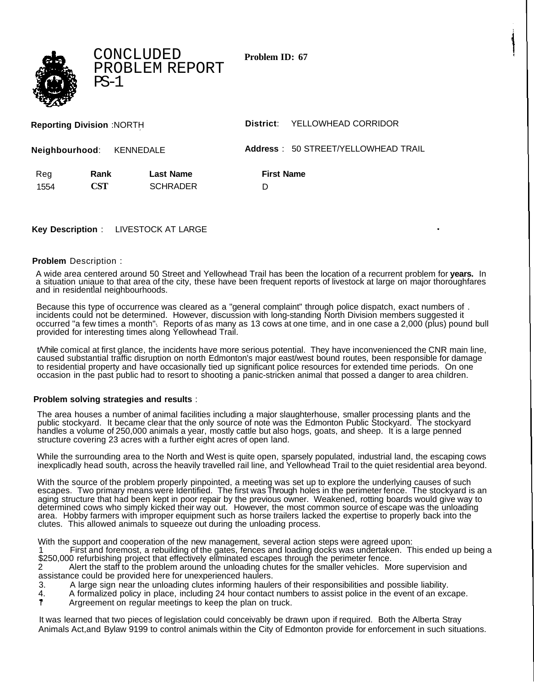**Problem ID: 67**

| <b>Reporting Division: NORTH</b> |                          |                  | YELLOWHEAD CORRIDOR<br>District:    |  |
|----------------------------------|--------------------------|------------------|-------------------------------------|--|
|                                  | Neighbourhood: KENNEDALE |                  | Address: 50 STREET/YELLOWHEAD TRAIL |  |
| Reg                              | Rank                     | <b>Last Name</b> | <b>First Name</b>                   |  |
| 1554                             | <b>CST</b>               | <b>SCHRADER</b>  | D                                   |  |
|                                  |                          |                  |                                     |  |

## **Key Description** : LIVESTOCK AT LARGE

CONCLUDED

PS-1

PROBLEM REPORT

## **Problem** Description :

A wide area centered around 50 Street and Yellowhead Trail has been the location of a recurrent problem for **years.** In a situation uniaue to that area of the city, these have been frequent reports of livestock at large on major thoroughfares and in residential neighbourhoods.

Because this type of occurrence was cleared as a "general complaint" through police dispatch, exact numbers of . incidents could not be determined. However, discussion with long-standing North Division members suggested it occurred "a few times a month". Reports of as many as 13 cows at one time, and in one case a 2,000 (plus) pound bull provided for interesting times along Yellowhead Trail.

t/Vhile comical at first glance, the incidents have more serious potential. They have inconvenienced the CNR main line, caused substantial traffic disruption on north Edmonton's major east/west bound routes, been responsible for damage to residential property and have occasionally tied up significant police resources for extended time periods. On one occasion in the past public had to resort to shooting a panic-stricken animal that possed a danger to area children.

## **Problem solving strategies and results** :

The area houses a number of animal facilities including a major slaughterhouse, smaller processing plants and the public stockyard. It became clear that the only source of note was the Edmonton Public Stockyard. The stockyard handles a volume of 250,000 animals a year, mostly cattle but also hogs, goats, and sheep. It is a large penned structure covering 23 acres with a further eight acres of open land.

While the surrounding area to the North and West is quite open, sparsely populated, industrial land, the escaping cows inexplicadly head south, across the heavily travelled rail line, and Yellowhead Trail to the quiet residential area beyond.

With the source of the problem properly pinpointed, a meeting was set up to explore the underlying causes of such escapes. Two primary means were Identified. The first was Through holes in the perimeter fence. The stockyard is an aging structure that had been kept in poor repair by the previous owner. Weakened, rotting boards would give way to determined cows who simply kicked their way out. However, the most common source of escape was the unloading area. Hobby farmers with improper equipment such as horse trailers lacked the expertise to properly back into the clutes. This allowed animals to squeeze out during the unloading process.

With the support and cooperation of the new management, several action steps were agreed upon:

1 First and foremost, a rebuilding of the gates, fences and loading docks was undertaken. This ended up being a \$250,000 refurbishing project that effectively eliminated escapes through the perimeter fence.<br>2 Alert the staff to the problem around the unloading chutes for the smaller vehicles. M

2 Alert the staff to the problem around the unloading chutes for the smaller vehicles. More supervision and assistance could be provided here for unexperienced haulers.<br>3. A large sign near the unloading clutes informing haule

- 3. A large sign near the unloading clutes informing haulers of their responsibilities and possible liability.
- 4. A formalized policy in place, including 24 hour contact numbers to assist police in the event of an excape.<br>
The Argreement on regular meetings to keep the plan on truck.
- Argreement on regular meetings to keep the plan on truck.

It was learned that two pieces of legislation could conceivably be drawn upon if required. Both the Alberta Stray Animals Act,and Bylaw 9199 to control animals within the City of Edmonton provide for enforcement in such situations.